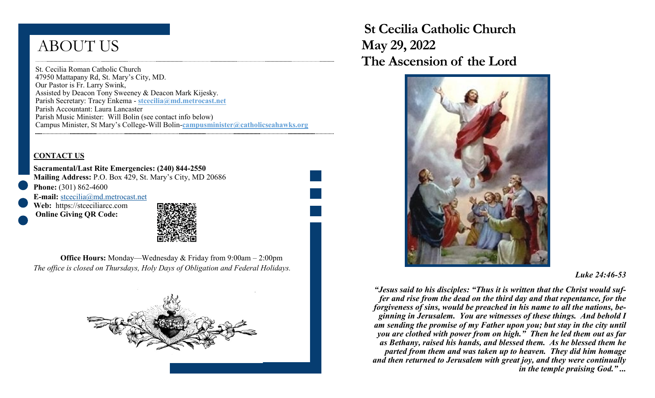# ABOUT US

St. Cecilia Roman Catholic Church 47950 Mattapany Rd, St. Mary's City, MD. Our Pastor is Fr. Larry Swink, Assisted by Deacon Tony Sweeney & Deacon Mark Kijesky. Parish Secretary: Tracy Enkema - **stcecilia@md.metrocast.net**  Parish Accountant: Laura Lancaster Parish Music Minister: Will Bolin (see contact info below) Campus Minister, St Mary's College-Will Bolin-**campusminister@catholicseahawks.org** 

#### **CONTACT US**

**Sacramental/Last Rite Emergencies: (240) 844-2550 Mailing Address:** P.O. Box 429, St. Mary's City, MD 20686 **Phone:** (301) 862-4600

**E-mail:** [stcecilia@md.metrocast.net](mailto:stcecilia@md.metrocast.net) **Web:** https://stceciliarcc.com

**Online Giving QR Code:**



**Office Hours:** Monday—Wednesday & Friday from 9:00am – 2:00pm *The office is closed on Thursdays, Holy Days of Obligation and Federal Holidays.*



 **St Cecilia Catholic Church May 29, 2022 The Ascension of the Lord** 



#### *Luke 24:46-53*

*"Jesus said to his disciples: "Thus it is written that the Christ would suffer and rise from the dead on the third day and that repentance, for the forgiveness of sins, would be preached in his name to all the nations, beginning in Jerusalem. You are witnesses of these things. And behold I am sending the promise of my Father upon you; but stay in the city until you are clothed with power from on high." Then he led them out as far as Bethany, raised his hands, and blessed them. As he blessed them he parted from them and was taken up to heaven. They did him homage and then returned to Jerusalem with great joy, and they were continually in the temple praising God." ...*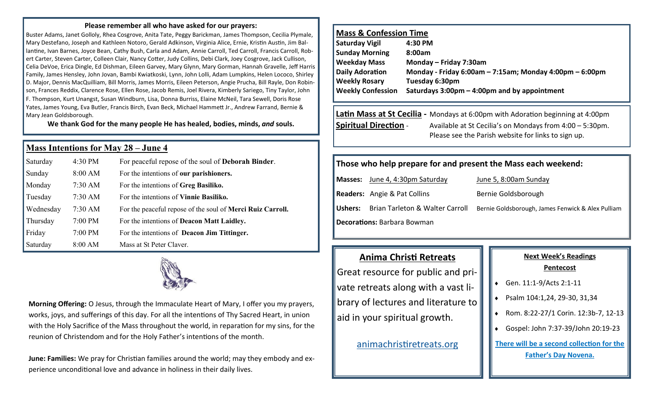#### **Please remember all who have asked for our prayers:**

Buster Adams, Janet Golloly, Rhea Cosgrove, Anita Tate, Peggy Barickman, James Thompson, Cecilia Plymale, Mary Destefano, Joseph and Kathleen Notoro, Gerald Adkinson, Virginia Alice, Ernie, Kristin Austin, Jim Ballantine, Ivan Barnes, Joyce Bean, Cathy Bush, Carla and Adam, Annie Carroll, Ted Carroll, Francis Carroll, Robert Carter, Steven Carter, Colleen Clair, Nancy Cotter, Judy Collins, Debi Clark, Joey Cosgrove, Jack Cullison, Celia DeVoe, Erica Dingle, Ed Dishman, Eileen Garvey, Mary Glynn, Mary Gorman, Hannah Gravelle, Jeff Harris Family, James Hensley, John Jovan, Bambi Kwiatkoski, Lynn, John Lolli, Adam Lumpkins, Helen Lococo, Shirley D. Major, Dennis MacQuilliam, Bill Morris, James Morris, Eileen Peterson, Angie Prucha, Bill Rayle, Don Robinson, Frances Reddix, Clarence Rose, Ellen Rose, Jacob Remis, Joel Rivera, Kimberly Sariego, Tiny Taylor, John F. Thompson, Kurt Unangst, Susan Windburn, Lisa, Donna Burriss, Elaine McNeil, Tara Sewell, Doris Rose Yates, James Young, Eva Butler, Francis Birch, Evan Beck, Michael Hammett Jr., Andrew Farrand, Bernie & Mary Jean Goldsborough.

**We thank God for the many people He has healed, bodies, minds,** *and* **souls.**

#### **Mass Intentions for May 28 – June 4**

| Saturday  | 4:30 PM | For peaceful repose of the soul of <b>Deborah Binder</b> .        |
|-----------|---------|-------------------------------------------------------------------|
| Sunday    | 8:00 AM | For the intentions of our parishioners.                           |
| Monday    | 7:30 AM | For the intentions of Greg Basiliko.                              |
| Tuesday   | 7:30 AM | For the intentions of Vinnie Basiliko.                            |
| Wednesday | 7:30 AM | For the peaceful repose of the soul of <b>Merci Ruiz Carroll.</b> |
| Thursday  | 7:00 PM | For the intentions of <b>Deacon Matt Laidley.</b>                 |
| Friday    | 7:00 PM | For the intentions of <b>Deacon Jim Tittinger.</b>                |
| Saturday  | 8:00 AM | Mass at St Peter Claver.                                          |



**Morning Offering:** O Jesus, through the Immaculate Heart of Mary, I offer you my prayers, works, joys, and sufferings of this day. For all the intentions of Thy Sacred Heart, in union with the Holy Sacrifice of the Mass throughout the world, in reparation for my sins, for the reunion of Christendom and for the Holy Father's intentions of the month.

**June: Families:** We pray for Christian families around the world; may they embody and experience unconditional love and advance in holiness in their daily lives.

#### **Mass & Confession Time**

| Saturday Vigil           | 4:30 PM                                                        |
|--------------------------|----------------------------------------------------------------|
| <b>Sunday Morning</b>    | 8:00am                                                         |
| <b>Weekday Mass</b>      | Monday - Friday 7:30am                                         |
| <b>Daily Adoration</b>   | Monday - Friday 6:00am $-$ 7:15am; Monday 4:00pm $-$ 6:00pm    |
| <b>Weekly Rosary</b>     | Tuesday 6:30pm                                                 |
| <b>Weekly Confession</b> | Saturdays $3:00 \text{pm} - 4:00 \text{pm}$ and by appointment |

#### **Latin Mass at St Cecilia -** Mondays at 6:00pm with Adoration beginning at 4:00pm **Spiritual Direction** - Available at St Cecilia's on Mondays from 4:00 – 5:30pm. Please see the Parish website for links to sign up.

#### **Those who help prepare for and present the Mass each weekend:**

**Masses:** June 4, 4:30pm Saturday June 5, 8:00am Sunday **Readers:** Angie & Pat Collins Bernie Goldsborough

**Ushers:** Brian Tarleton & Walter Carroll Bernie Goldsborough, James Fenwick & Alex Pulliam

**Decorations:** Barbara Bowman

### **Anima Christi Retreats**

Great resource for public and private retreats along with a vast library of lectures and literature to aid in your spiritual growth.

[animachristiretreats.org](https://www.animachristiretreats.org/) 

#### **Next Week's Readings Pentecost**

- Gen. 11:1-9/Acts 2:1-11
- ◆ Psalm 104:1,24, 29-30, 31,34
- Rom. 8:22-27/1 Corin. 12:3b-7, 12-13
- Gospel: John 7:37-39/John 20:19-23

**There will be a second collection for the Father's Day Novena.**